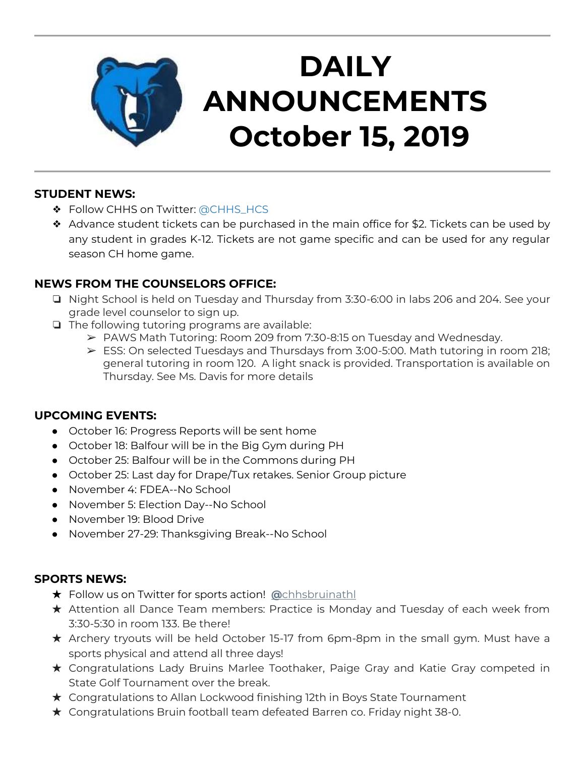

# **DAILY ANNOUNCEMENTS October 15, 2019**

#### **STUDENT NEWS:**

- ❖ Follow CHHS on Twitter: [@CHHS\\_HCS](https://twitter.com/CHHS_HCS)
- ❖ Advance student tickets can be purchased in the main office for \$2. Tickets can be used by any student in grades K-12. Tickets are not game specific and can be used for any regular season CH home game.

## **NEWS FROM THE COUNSELORS OFFICE:**

- ❏ Night School is held on Tuesday and Thursday from 3:30-6:00 in labs 206 and 204. See your grade level counselor to sign up.
- ❏ The following tutoring programs are available:
	- ➢ PAWS Math Tutoring: Room 209 from 7:30-8:15 on Tuesday and Wednesday.
	- $\triangleright$  ESS: On selected Tuesdays and Thursdays from 3:00-5:00. Math tutoring in room 218; general tutoring in room 120. A light snack is provided. Transportation is available on Thursday. See Ms. Davis for more details

#### **UPCOMING EVENTS:**

- October 16: Progress Reports will be sent home
- October 18: Balfour will be in the Big Gym during PH
- October 25: Balfour will be in the Commons during PH
- October 25: Last day for Drape/Tux retakes. Senior Group picture
- November 4: FDEA--No School
- November 5: Election Day--No School
- November 19: Blood Drive
- November 27-29: Thanksgiving Break--No School

#### **SPORTS NEWS:**

- ★ Follow us on Twitter for sports action! **[@](https://twitter.com/chhsbruinathl)**[chhsbruinathl](https://twitter.com/chhsbruinathl)
- ★ Attention all Dance Team members: Practice is Monday and Tuesday of each week from 3:30-5:30 in room 133. Be there!
- ★ Archery tryouts will be held October 15-17 from 6pm-8pm in the small gym. Must have a sports physical and attend all three days!
- ★ Congratulations Lady Bruins Marlee Toothaker, Paige Gray and Katie Gray competed in State Golf Tournament over the break.
- ★ Congratulations to Allan Lockwood finishing 12th in Boys State Tournament
- ★ Congratulations Bruin football team defeated Barren co. Friday night 38-0.